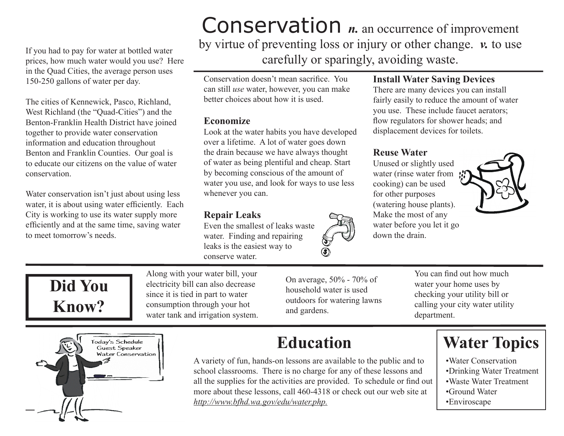If you had to pay for water at bottled water prices, how much water would you use? Here in the Quad Cities, the average person uses 150-250 gallons of water per day.

The cities of Kennewick, Pasco, Richland, West Richland (the "Quad-Cities") and the Benton-Franklin Health District have joined together to provide water conservation information and education throughout Benton and Franklin Counties. Our goal is to educate our citizens on the value of water conservation.

Water conservation isn't just about using less water, it is about using water efficiently. Each City is working to use its water supply more efficiently and at the same time, saving water to meet tomorrow's needs.

**Conservation** *n*. an occurrence of improvement by virtue of preventing loss or injury or other change. *v.* to use carefully or sparingly, avoiding waste.

Conservation doesn't mean sacrifice. You can still *use* water, however, you can make better choices about how it is used.

#### **Economize**

Look at the water habits you have developed over a lifetime. A lot of water goes down the drain because we have always thought of water as being plentiful and cheap. Start by becoming conscious of the amount of water you use, and look for ways to use less whenever you can.

# **Repair Leaks**

Even the smallest of leaks waste water. Finding and repairing leaks is the easiest way to conserve water.

## **Install Water Saving Devices**

There are many devices you can install fairly easily to reduce the amount of water you use. These include faucet aerators; flow regulators for shower heads; and displacement devices for toilets.

## **Reuse Water**

Unused or slightly used water (rinse water from ! cooking) can be used for other purposes (watering house plants). Make the most of any water before you let it go down the drain.





Along with your water bill, your electricity bill can also decrease since it is tied in part to water consumption through your hot water tank and irrigation system.

On average, 50% - 70% of household water is used outdoors for watering lawns and gardens.

You can find out how much water your home uses by checking your utility bill or calling your city water utility department.



# **Education**

A variety of fun, hands-on lessons are available to the public and to school classrooms. There is no charge for any of these lessons and all the supplies for the activities are provided. To schedule or find out more about these lessons, call 460-4318 or check out our web site at *http://www.bfhd.wa.gov/edu/water.php.*

# **Water Topics**

- •Water Conservation
- •Drinking Water Treatment
- •Waste Water Treatment
- •Ground Water
- •Enviroscape